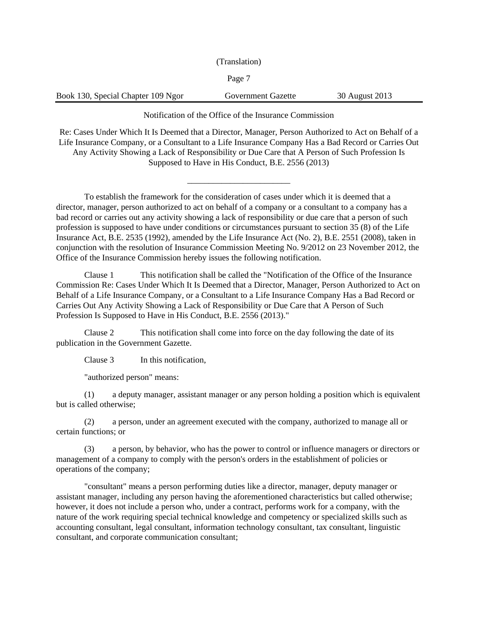(Translation)

Page 7

Book 130, Special Chapter 109 Ngor Government Gazette 30 August 2013

Notification of the Office of the Insurance Commission

Re: Cases Under Which It Is Deemed that a Director, Manager, Person Authorized to Act on Behalf of a Life Insurance Company, or a Consultant to a Life Insurance Company Has a Bad Record or Carries Out Any Activity Showing a Lack of Responsibility or Due Care that A Person of Such Profession Is Supposed to Have in His Conduct, B.E. 2556 (2013)

\_\_\_\_\_\_\_\_\_\_\_\_\_\_\_\_\_\_\_\_\_\_\_\_

To establish the framework for the consideration of cases under which it is deemed that a director, manager, person authorized to act on behalf of a company or a consultant to a company has a bad record or carries out any activity showing a lack of responsibility or due care that a person of such profession is supposed to have under conditions or circumstances pursuant to section 35 (8) of the Life Insurance Act, B.E. 2535 (1992), amended by the Life Insurance Act (No. 2), B.E. 2551 (2008), taken in conjunction with the resolution of Insurance Commission Meeting No. 9/2012 on 23 November 2012, the Office of the Insurance Commission hereby issues the following notification.

Clause 1 This notification shall be called the "Notification of the Office of the Insurance Commission Re: Cases Under Which It Is Deemed that a Director, Manager, Person Authorized to Act on Behalf of a Life Insurance Company, or a Consultant to a Life Insurance Company Has a Bad Record or Carries Out Any Activity Showing a Lack of Responsibility or Due Care that A Person of Such Profession Is Supposed to Have in His Conduct, B.E. 2556 (2013)."

Clause 2 This notification shall come into force on the day following the date of its publication in the Government Gazette.

Clause 3 In this notification,

"authorized person" means:

(1) a deputy manager, assistant manager or any person holding a position which is equivalent but is called otherwise;

(2) a person, under an agreement executed with the company, authorized to manage all or certain functions; or

(3) a person, by behavior, who has the power to control or influence managers or directors or management of a company to comply with the person's orders in the establishment of policies or operations of the company;

"consultant" means a person performing duties like a director, manager, deputy manager or assistant manager, including any person having the aforementioned characteristics but called otherwise; however, it does not include a person who, under a contract, performs work for a company, with the nature of the work requiring special technical knowledge and competency or specialized skills such as accounting consultant, legal consultant, information technology consultant, tax consultant, linguistic consultant, and corporate communication consultant;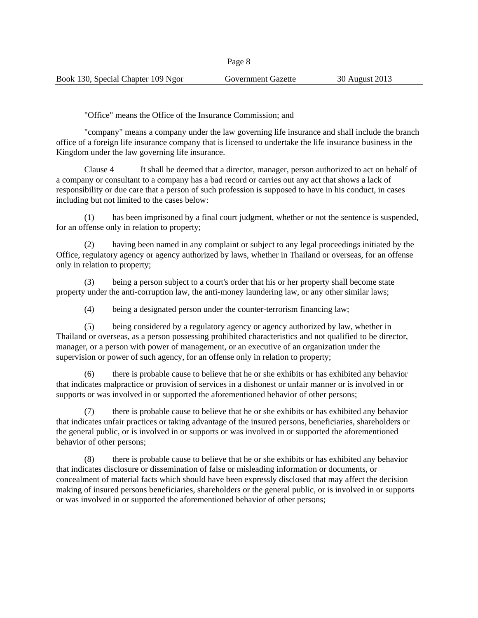"Office" means the Office of the Insurance Commission; and

"company" means a company under the law governing life insurance and shall include the branch office of a foreign life insurance company that is licensed to undertake the life insurance business in the Kingdom under the law governing life insurance.

Clause 4 It shall be deemed that a director, manager, person authorized to act on behalf of a company or consultant to a company has a bad record or carries out any act that shows a lack of responsibility or due care that a person of such profession is supposed to have in his conduct, in cases including but not limited to the cases below:

(1) has been imprisoned by a final court judgment, whether or not the sentence is suspended, for an offense only in relation to property;

(2) having been named in any complaint or subject to any legal proceedings initiated by the Office, regulatory agency or agency authorized by laws, whether in Thailand or overseas, for an offense only in relation to property;

(3) being a person subject to a court's order that his or her property shall become state property under the anti-corruption law, the anti-money laundering law, or any other similar laws;

(4) being a designated person under the counter-terrorism financing law;

(5) being considered by a regulatory agency or agency authorized by law, whether in Thailand or overseas, as a person possessing prohibited characteristics and not qualified to be director, manager, or a person with power of management, or an executive of an organization under the supervision or power of such agency, for an offense only in relation to property;

(6) there is probable cause to believe that he or she exhibits or has exhibited any behavior that indicates malpractice or provision of services in a dishonest or unfair manner or is involved in or supports or was involved in or supported the aforementioned behavior of other persons;

(7) there is probable cause to believe that he or she exhibits or has exhibited any behavior that indicates unfair practices or taking advantage of the insured persons, beneficiaries, shareholders or the general public, or is involved in or supports or was involved in or supported the aforementioned behavior of other persons;

(8) there is probable cause to believe that he or she exhibits or has exhibited any behavior that indicates disclosure or dissemination of false or misleading information or documents, or concealment of material facts which should have been expressly disclosed that may affect the decision making of insured persons beneficiaries, shareholders or the general public, or is involved in or supports or was involved in or supported the aforementioned behavior of other persons;